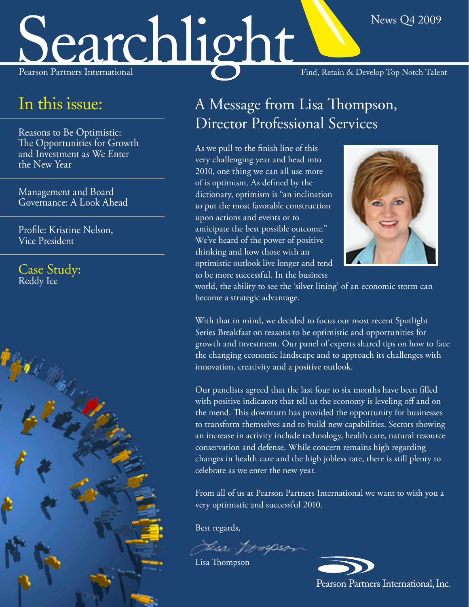# Searchlight Find, Retain & Develop Top Notch Talent

### In this issue:

Reasons to Be Optimistic: [The Opportunities for Growth](#page-1-0) and Investment as We Enter the New Year

Management and Board [Governance: A Look Ahead](#page-2-0)

[Profile: Kristine Nelson,](#page-4-0)  Vice President

[Case Study:](#page-3-0) Reddy Ice



### A Message from Lisa Thompson, Director Professional Services

As we pull to the finish line of this very challenging year and head into 2010, one thing we can all use more of is optimism. As defined by the dictionary, optimism is "an inclination to put the most favorable construction upon actions and events or to anticipate the best possible outcome." We've heard of the power of positive thinking and how those with an optimistic outlook live longer and tend to be more successful. In the business



News Q4 2009

world, the ability to see the 'silver lining' of an economic storm can become a strategic advantage.

With that in mind, we decided to focus our most recent Spotlight Series Breakfast on reasons to be optimistic and opportunities for growth and investment. Our panel of experts shared tips on how to face the changing economic landscape and to approach its challenges with innovation, creativity and a positive outlook.

Our panelists agreed that the last four to six months have been filled with positive indicators that tell us the economy is leveling off and on the mend. This downturn has provided the opportunity for businesses to transform themselves and to build new capabilities. Sectors showing an increase in activity include technology, health care, natural resource conservation and defense. While concern remains high regarding changes in health care and the high jobless rate, there is still plenty to celebrate as we enter the new year.

From all of us at Pearson Partners International we want to wish you a very optimistic and successful 2010.

Best regards,

Fiss pompsos

Lisa Thompson



Pearson Partners International, Inc.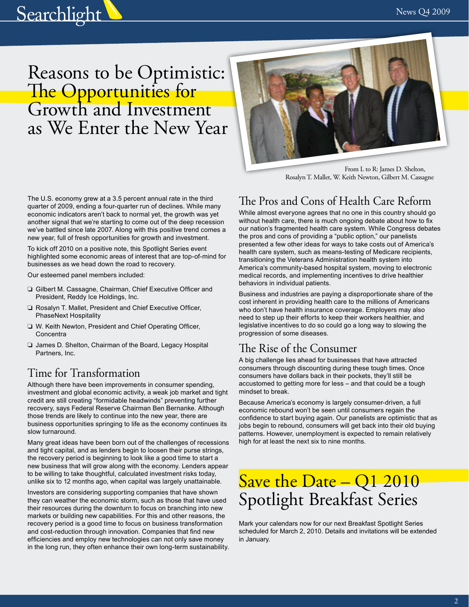<span id="page-1-0"></span>

### Reasons to be Optimistic: The Opportunities for Growth and Investment as We Enter the New Year



 From L to R: James D. Shelton, Rosalyn T. Mallet, W. Keith Newton, Gilbert M. Cassagne

The U.S. economy grew at a 3.5 percent annual rate in the third quarter of 2009, ending a four-quarter run of declines. While many economic indicators aren't back to normal yet, the growth was yet another signal that we're starting to come out of the deep recession we've battled since late 2007. Along with this positive trend comes a new year, full of fresh opportunities for growth and investment.

To kick off 2010 on a positive note, this Spotlight Series event highlighted some economic areas of interest that are top-of-mind for businesses as we head down the road to recovery.

Our esteemed panel members included:

- ❏ Gilbert M. Cassagne, Chairman, Chief Executive Officer and President, Reddy Ice Holdings, Inc.
- ❏ Rosalyn T. Mallet, President and Chief Executive Officer, PhaseNext Hospitality
- ❏ W. Keith Newton, President and Chief Operating Officer, **Concentra**
- ❏ James D. Shelton, Chairman of the Board, Legacy Hospital Partners, Inc.

#### Time for Transformation

Although there have been improvements in consumer spending, investment and global economic activity, a weak job market and tight credit are still creating "formidable headwinds" preventing further recovery, says Federal Reserve Chairman Ben Bernanke. Although those trends are likely to continue into the new year, there are business opportunities springing to life as the economy continues its slow turnaround.

Many great ideas have been born out of the challenges of recessions and tight capital, and as lenders begin to loosen their purse strings, the recovery period is beginning to look like a good time to start a new business that will grow along with the economy. Lenders appear to be willing to take thoughtful, calculated investment risks today, unlike six to 12 months ago, when capital was largely unattainable.

Investors are considering supporting companies that have shown they can weather the economic storm, such as those that have used their resources during the downturn to focus on branching into new markets or building new capabilities. For this and other reasons, the recovery period is a good time to focus on business transformation and cost-reduction through innovation. Companies that find new efficiencies and employ new technologies can not only save money in the long run, they often enhance their own long-term sustainability.

#### The Pros and Cons of Health Care Reform

While almost everyone agrees that no one in this country should go without health care, there is much ongoing debate about how to fix our nation's fragmented health care system. While Congress debates the pros and cons of providing a "public option," our panelists presented a few other ideas for ways to take costs out of America's health care system, such as means-testing of Medicare recipients, transitioning the Veterans Administration health system into America's community-based hospital system, moving to electronic medical records, and implementing incentives to drive healthier behaviors in individual patients.

Business and industries are paying a disproportionate share of the cost inherent in providing health care to the millions of Americans who don't have health insurance coverage. Employers may also need to step up their efforts to keep their workers healthier, and legislative incentives to do so could go a long way to slowing the progression of some diseases.

#### The Rise of the Consumer

A big challenge lies ahead for businesses that have attracted consumers through discounting during these tough times. Once consumers have dollars back in their pockets, they'll still be accustomed to getting more for less – and that could be a tough mindset to break.

Because America's economy is largely consumer-driven, a full economic rebound won't be seen until consumers regain the confidence to start buying again. Our panelists are optimistic that as jobs begin to rebound, consumers will get back into their old buying patterns. However, unemployment is expected to remain relatively high for at least the next six to nine months.

### Save the Date – Q1 2010 Spotlight Breakfast Series

Mark your calendars now for our next Breakfast Spotlight Series scheduled for March 2, 2010. Details and invitations will be extended in January.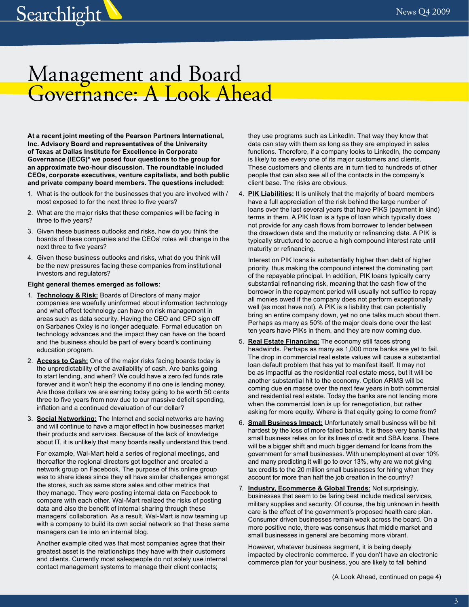### <span id="page-2-0"></span>Management and Board Governance: A Look Ahead

**At a recent joint meeting of the Pearson Partners International, Inc. Advisory Board and representatives of the University of Texas at Dallas Institute for Excellence in Corporate Governance (IECG)\* we posed four questions to the group for an approximate two-hour discussion. The roundtable included CEOs, corporate executives, venture capitalists, and both public and private company board members. The questions included:**

- 1. What is the outlook for the businesses that you are involved with / most exposed to for the next three to five years?
- 2. What are the major risks that these companies will be facing in three to five years?
- 3. Given these business outlooks and risks, how do you think the boards of these companies and the CEOs' roles will change in the next three to five years?
- 4. Given these business outlooks and risks, what do you think will be the new pressures facing these companies from institutional investors and regulators?

#### **Eight general themes emerged as follows:**

- 1. **Technology & Risk:** Boards of Directors of many major companies are woefully uninformed about information technology and what effect technology can have on risk management in areas such as data security. Having the CEO and CFO sign off on Sarbanes Oxley is no longer adequate. Formal education on technology advances and the impact they can have on the board and the business should be part of every board's continuing education program.
- 2. **Access to Cash:** One of the major risks facing boards today is the unpredictability of the availability of cash. Are banks going to start lending, and when? We could have a zero fed funds rate forever and it won't help the economy if no one is lending money. Are those dollars we are earning today going to be worth 50 cents three to five years from now due to our massive deficit spending, inflation and a continued devaluation of our dollar?
- 3. **Social Networking:** The Internet and social networks are having and will continue to have a major effect in how businesses market their products and services. Because of the lack of knowledge about IT, it is unlikely that many boards really understand this trend.

For example, Wal-Mart held a series of regional meetings, and thereafter the regional directors got together and created a network group on Facebook. The purpose of this online group was to share ideas since they all have similar challenges amongst the stores, such as same store sales and other metrics that they manage. They were posting internal data on Facebook to compare with each other. Wal-Mart realized the risks of posting data and also the benefit of internal sharing through these managers' collaboration. As a result, Wal-Mart is now teaming up with a company to build its own social network so that these same managers can tie into an internal blog.

Another example cited was that most companies agree that their greatest asset is the relationships they have with their customers and clients. Currently most salespeople do not solely use internal contact management systems to manage their client contacts;

they use programs such as LinkedIn. That way they know that data can stay with them as long as they are employed in sales functions. Therefore, if a company looks to LinkedIn, the company is likely to see every one of its major customers and clients. These customers and clients are in turn tied to hundreds of other people that can also see all of the contacts in the company's client base. The risks are obvious.

4. **PIK Liabilities:** It is unlikely that the majority of board members have a full appreciation of the risk behind the large number of loans over the last several years that have PIKS (payment in kind) terms in them. A PIK loan is a type of loan which typically does not provide for any cash flows from borrower to lender between the drawdown date and the maturity or refinancing date. A PIK is typically structured to accrue a high compound interest rate until maturity or refinancing.

Interest on PIK loans is substantially higher than debt of higher priority, thus making the compound interest the dominating part of the repayable principal. In addition, PIK loans typically carry substantial refinancing risk, meaning that the cash flow of the borrower in the repayment period will usually not suffice to repay all monies owed if the company does not perform exceptionally well (as most have not). A PIK is a liability that can potentially bring an entire company down, yet no one talks much about them. Perhaps as many as 50% of the major deals done over the last ten years have PIKs in them, and they are now coming due.

- 5. **Real Estate Financing:** The economy still faces strong headwinds. Perhaps as many as 1,000 more banks are yet to fail. The drop in commercial real estate values will cause a substantial loan default problem that has yet to manifest itself. It may not be as impactful as the residential real estate mess, but it will be another substantial hit to the economy. Option ARMS will be coming due en masse over the next few years in both commercial and residential real estate. Today the banks are not lending more when the commercial loan is up for renegotiation, but rather asking for more equity. Where is that equity going to come from?
- 6. **Small Business Impact:** Unfortunately small business will be hit hardest by the loss of more failed banks. It is these very banks that small business relies on for its lines of credit and SBA loans. There will be a bigger shift and much bigger demand for loans from the government for small businesses. With unemployment at over 10% and many predicting it will go to over 13%, why are we not giving tax credits to the 20 million small businesses for hiring when they account for more than half the job creation in the country?
- 7. **Industry, Ecommerce & Global Trends:** Not surprisingly, businesses that seem to be faring best include medical services, military supplies and security. Of course, the big unknown in health care is the effect of the government's proposed health care plan. Consumer driven businesses remain weak across the board. On a more positive note, there was consensus that middle market and small businesses in general are becoming more vibrant.

However, whatever business segment, it is being deeply impacted by electronic commerce. If you don't have an electronic commerce plan for your business, you are likely to fall behind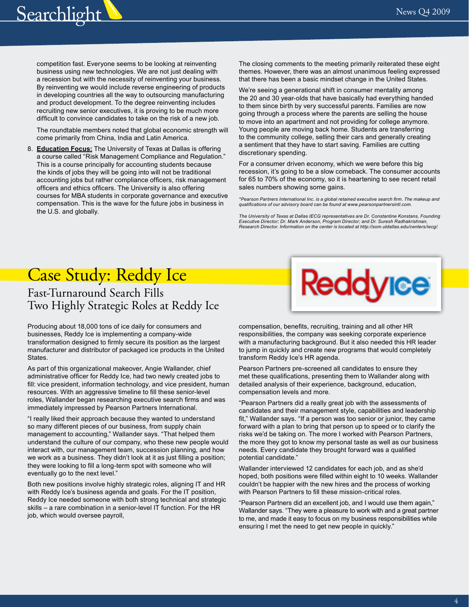<span id="page-3-0"></span>

competition fast. Everyone seems to be looking at reinventing business using new technologies. We are not just dealing with a recession but with the necessity of reinventing your business. By reinventing we would include reverse engineering of products in developing countries all the way to outsourcing manufacturing and product development. To the degree reinventing includes recruiting new senior executives, it is proving to be much more difficult to convince candidates to take on the risk of a new job.

The roundtable members noted that global economic strength will come primarily from China, India and Latin America.

8. **Education Focus:** The University of Texas at Dallas is offering a course called "Risk Management Compliance and Regulation." This is a course principally for accounting students because the kinds of jobs they will be going into will not be traditional accounting jobs but rather compliance officers, risk management officers and ethics officers. The University is also offering courses for MBA students in corporate governance and executive compensation. This is the wave for the future jobs in business in the U.S. and globally.

The closing comments to the meeting primarily reiterated these eight themes. However, there was an almost unanimous feeling expressed that there has been a basic mindset change in the United States.

We're seeing a generational shift in consumer mentality among the 20 and 30 year-olds that have basically had everything handed to them since birth by very successful parents. Families are now going through a process where the parents are selling the house to move into an apartment and not providing for college anymore. Young people are moving back home. Students are transferring to the community college, selling their cars and generally creating a sentiment that they have to start saving. Families are cutting discretionary spending.

For a consumer driven economy, which we were before this big recession, it's going to be a slow comeback. The consumer accounts for 65 to 70% of the economy, so it is heartening to see recent retail sales numbers showing some gains.

*\*Pearson Partners International Inc. is a global retained executive search firm. The makeup and qualifications of our advisory board can be found at [www.pearsonpartnersintl.com.](http://www.pearsonpartnersintl.com)* 

*The University of Texas at Dallas IECG representatives are Dr. Constantine Konstans, Founding Executive Director; Dr. Mark Anderson, Program Director; and Dr. Suresh Radhakrishnan, Research Director. Information on the center is located at<http://som.utdallas.edu/centers/iecg>/.* 

### Case Study: Reddy Ice

#### Fast-Turnaround Search Fills Two Highly Strategic Roles at Reddy Ice

Producing about 18,000 tons of ice daily for consumers and businesses, Reddy Ice is implementing a company-wide transformation designed to firmly secure its position as the largest manufacturer and distributor of packaged ice products in the United States.

As part of this organizational makeover, Angie Wallander, chief administrative officer for Reddy Ice, had two newly created jobs to fill: vice president, information technology, and vice president, human resources. With an aggressive timeline to fill these senior-level roles, Wallander began researching executive search firms and was immediately impressed by Pearson Partners International.

"I really liked their approach because they wanted to understand so many different pieces of our business, from supply chain management to accounting," Wallander says. "That helped them understand the culture of our company, who these new people would interact with, our management team, succession planning, and how we work as a business. They didn't look at it as just filling a position; they were looking to fill a long-term spot with someone who will eventually go to the next level."

Both new positions involve highly strategic roles, aligning IT and HR with Reddy Ice's business agenda and goals. For the IT position, Reddy Ice needed someone with both strong technical and strategic skills – a rare combination in a senior-level IT function. For the HR job, which would oversee payroll,



compensation, benefits, recruiting, training and all other HR responsibilities, the company was seeking corporate experience with a manufacturing background. But it also needed this HR leader to jump in quickly and create new programs that would completely transform Reddy Ice's HR agenda.

Pearson Partners pre-screened all candidates to ensure they met these qualifications, presenting them to Wallander along with detailed analysis of their experience, background, education, compensation levels and more.

"Pearson Partners did a really great job with the assessments of candidates and their management style, capabilities and leadership fit," Wallander says. "If a person was too senior or junior, they came forward with a plan to bring that person up to speed or to clarify the risks we'd be taking on. The more I worked with Pearson Partners, the more they got to know my personal taste as well as our business needs. Every candidate they brought forward was a qualified potential candidate."

Wallander interviewed 12 candidates for each job, and as she'd hoped, both positions were filled within eight to 10 weeks. Wallander couldn't be happier with the new hires and the process of working with Pearson Partners to fill these mission-critical roles.

"Pearson Partners did an excellent job, and I would use them again," Wallander says. "They were a pleasure to work with and a great partner to me, and made it easy to focus on my business responsibilities while ensuring I met the need to get new people in quickly."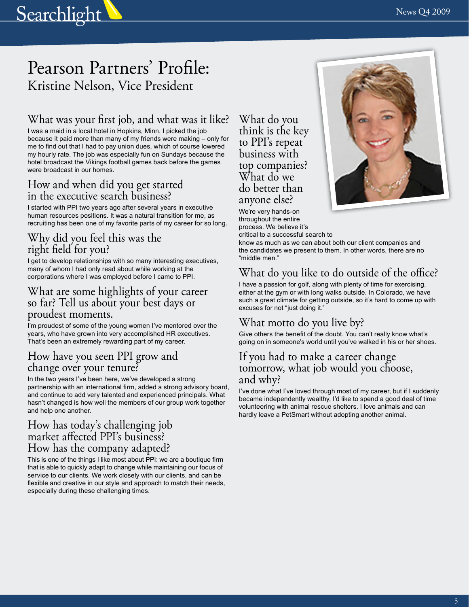## <span id="page-4-0"></span>Searchlight  $N_{\text{new 24 2009}}$

### Pearson Partners' Profile: Kristine Nelson, Vice President

#### What was your first job, and what was it like?

I was a maid in a local hotel in Hopkins, Minn. I picked the job because it paid more than many of my friends were making – only for me to find out that I had to pay union dues, which of course lowered my hourly rate. The job was especially fun on Sundays because the hotel broadcast the Vikings football games back before the games were broadcast in our homes.

#### How and when did you get started in the executive search business?

I started with PPI two years ago after several years in executive human resources positions. It was a natural transition for me, as recruiting has been one of my favorite parts of my career for so long.

#### Why did you feel this was the right field for you?

I get to develop relationships with so many interesting executives, many of whom I had only read about while working at the corporations where I was employed before I came to PPI.

#### What are some highlights of your career so far? Tell us about your best days or proudest moments.

I'm proudest of some of the young women I've mentored over the years, who have grown into very accomplished HR executives. That's been an extremely rewarding part of my career.

#### How have you seen PPI grow and change over your tenure?

In the two years I've been here, we've developed a strong partnership with an international firm, added a strong advisory board, and continue to add very talented and experienced principals. What hasn't changed is how well the members of our group work together and help one another.

#### How has today's challenging job market affected PPI's business? How has the company adapted?

This is one of the things I like most about PPI: we are a boutique firm that is able to quickly adapt to change while maintaining our focus of service to our clients. We work closely with our clients, and can be flexible and creative in our style and approach to match their needs, especially during these challenging times.

What do you think is the key to PPI's repeat business with top companies? What do we do better than anyone else?



We're very hands-on throughout the entire process. We believe it's

critical to a successful search to

know as much as we can about both our client companies and the candidates we present to them. In other words, there are no "middle men."

### What do you like to do outside of the office?

I have a passion for golf, along with plenty of time for exercising, either at the gym or with long walks outside. In Colorado, we have such a great climate for getting outside, so it's hard to come up with excuses for not "just doing it."

#### What motto do you live by?

Give others the benefit of the doubt. You can't really know what's going on in someone's world until you've walked in his or her shoes.

#### If you had to make a career change tomorrow, what job would you choose, and why?

I've done what I've loved through most of my career, but if I suddenly became independently wealthy, I'd like to spend a good deal of time volunteering with animal rescue shelters. I love animals and can hardly leave a PetSmart without adopting another animal.